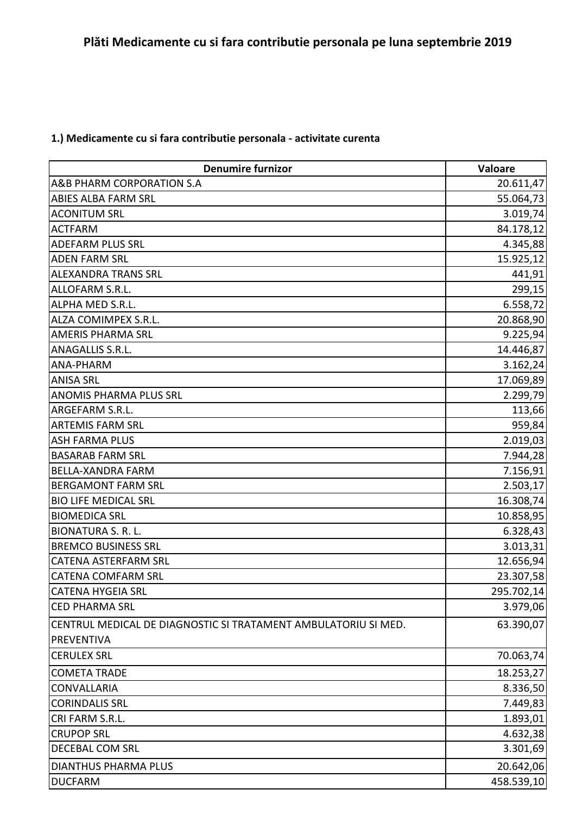## **1.) Medicamente cu si fara contributie personala - activitate curenta**

| <b>Denumire furnizor</b>                                       | Valoare    |
|----------------------------------------------------------------|------------|
| A&B PHARM CORPORATION S.A                                      | 20.611,47  |
| <b>ABIES ALBA FARM SRL</b>                                     | 55.064,73  |
| <b>ACONITUM SRL</b>                                            | 3.019,74   |
| <b>ACTFARM</b>                                                 | 84.178,12  |
| <b>ADEFARM PLUS SRL</b>                                        | 4.345,88   |
| <b>ADEN FARM SRL</b>                                           | 15.925,12  |
| <b>ALEXANDRA TRANS SRL</b>                                     | 441,91     |
| ALLOFARM S.R.L.                                                | 299,15     |
| ALPHA MED S.R.L.                                               | 6.558,72   |
| ALZA COMIMPEX S.R.L.                                           | 20.868,90  |
| <b>AMERIS PHARMA SRL</b>                                       | 9.225,94   |
| <b>ANAGALLIS S.R.L.</b>                                        | 14.446,87  |
| ANA-PHARM                                                      | 3.162,24   |
| <b>ANISA SRL</b>                                               | 17.069,89  |
| <b>ANOMIS PHARMA PLUS SRL</b>                                  | 2.299,79   |
| ARGEFARM S.R.L.                                                | 113,66     |
| <b>ARTEMIS FARM SRL</b>                                        | 959,84     |
| <b>ASH FARMA PLUS</b>                                          | 2.019,03   |
| <b>BASARAB FARM SRL</b>                                        | 7.944,28   |
| <b>BELLA-XANDRA FARM</b>                                       | 7.156,91   |
| <b>BERGAMONT FARM SRL</b>                                      | 2.503,17   |
| <b>BIO LIFE MEDICAL SRL</b>                                    | 16.308,74  |
| <b>BIOMEDICA SRL</b>                                           | 10.858,95  |
| <b>BIONATURA S. R. L.</b>                                      | 6.328,43   |
| <b>BREMCO BUSINESS SRL</b>                                     | 3.013,31   |
| <b>CATENA ASTERFARM SRL</b>                                    | 12.656,94  |
| <b>CATENA COMFARM SRL</b>                                      | 23.307,58  |
| <b>CATENA HYGEIA SRL</b>                                       | 295.702,14 |
| <b>CED PHARMA SRL</b>                                          | 3.979,06   |
| CENTRUL MEDICAL DE DIAGNOSTIC SI TRATAMENT AMBULATORIU SI MED. | 63.390,07  |
| PREVENTIVA                                                     |            |
| <b>CERULEX SRL</b>                                             | 70.063,74  |
| <b>COMETA TRADE</b>                                            | 18.253,27  |
| <b>CONVALLARIA</b>                                             | 8.336,50   |
| <b>CORINDALIS SRL</b>                                          | 7.449,83   |
| CRI FARM S.R.L.                                                | 1.893,01   |
| <b>CRUPOP SRL</b>                                              | 4.632,38   |
| DECEBAL COM SRL                                                | 3.301,69   |
| <b>DIANTHUS PHARMA PLUS</b>                                    | 20.642,06  |
| <b>DUCFARM</b>                                                 | 458.539,10 |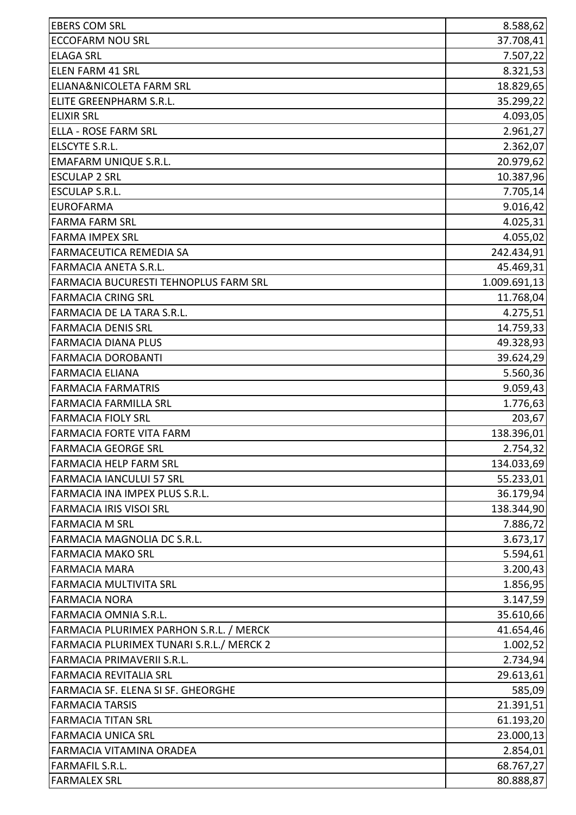| <b>EBERS COM SRL</b>                     | 8.588,62     |
|------------------------------------------|--------------|
| <b>ECCOFARM NOU SRL</b>                  | 37.708,41    |
| <b>ELAGA SRL</b>                         | 7.507,22     |
| <b>ELEN FARM 41 SRL</b>                  | 8.321,53     |
| ELIANA&NICOLETA FARM SRL                 | 18.829,65    |
| ELITE GREENPHARM S.R.L.                  | 35.299,22    |
| <b>ELIXIR SRL</b>                        | 4.093,05     |
| ELLA - ROSE FARM SRL                     | 2.961,27     |
| ELSCYTE S.R.L.                           | 2.362,07     |
| <b>EMAFARM UNIQUE S.R.L.</b>             | 20.979,62    |
| <b>ESCULAP 2 SRL</b>                     | 10.387,96    |
| <b>ESCULAP S.R.L.</b>                    | 7.705,14     |
| <b>EUROFARMA</b>                         | 9.016,42     |
| <b>FARMA FARM SRL</b>                    | 4.025,31     |
| <b>FARMA IMPEX SRL</b>                   | 4.055,02     |
| <b>FARMACEUTICA REMEDIA SA</b>           | 242.434,91   |
| <b>FARMACIA ANETA S.R.L.</b>             | 45.469,31    |
| FARMACIA BUCURESTI TEHNOPLUS FARM SRL    | 1.009.691,13 |
| <b>FARMACIA CRING SRL</b>                | 11.768,04    |
| FARMACIA DE LA TARA S.R.L.               | 4.275,51     |
| <b>FARMACIA DENIS SRL</b>                | 14.759,33    |
| <b>FARMACIA DIANA PLUS</b>               | 49.328,93    |
| <b>FARMACIA DOROBANTI</b>                | 39.624,29    |
| <b>FARMACIA ELIANA</b>                   | 5.560,36     |
| <b>FARMACIA FARMATRIS</b>                | 9.059,43     |
| <b>FARMACIA FARMILLA SRL</b>             | 1.776,63     |
| <b>FARMACIA FIOLY SRL</b>                | 203,67       |
| <b>FARMACIA FORTE VITA FARM</b>          | 138.396,01   |
| <b>FARMACIA GEORGE SRL</b>               | 2.754,32     |
| <b>FARMACIA HELP FARM SRL</b>            | 134.033,69   |
| <b>FARMACIA IANCULUI 57 SRL</b>          | 55.233,01    |
| FARMACIA INA IMPEX PLUS S.R.L.           | 36.179,94    |
| <b>FARMACIA IRIS VISOI SRL</b>           | 138.344,90   |
| <b>FARMACIA M SRL</b>                    | 7.886,72     |
| FARMACIA MAGNOLIA DC S.R.L.              | 3.673,17     |
| <b>FARMACIA MAKO SRL</b>                 | 5.594,61     |
| <b>FARMACIA MARA</b>                     | 3.200,43     |
| <b>FARMACIA MULTIVITA SRL</b>            | 1.856,95     |
| <b>FARMACIA NORA</b>                     | 3.147,59     |
| FARMACIA OMNIA S.R.L.                    | 35.610,66    |
| FARMACIA PLURIMEX PARHON S.R.L. / MERCK  | 41.654,46    |
| FARMACIA PLURIMEX TUNARI S.R.L./ MERCK 2 | 1.002,52     |
| FARMACIA PRIMAVERII S.R.L.               | 2.734,94     |
| <b>FARMACIA REVITALIA SRL</b>            | 29.613,61    |
| FARMACIA SF. ELENA SI SF. GHEORGHE       | 585,09       |
| <b>FARMACIA TARSIS</b>                   | 21.391,51    |
| <b>FARMACIA TITAN SRL</b>                | 61.193,20    |
| <b>FARMACIA UNICA SRL</b>                | 23.000,13    |
| FARMACIA VITAMINA ORADEA                 | 2.854,01     |
| <b>FARMAFIL S.R.L.</b>                   | 68.767,27    |
| <b>FARMALEX SRL</b>                      | 80.888,87    |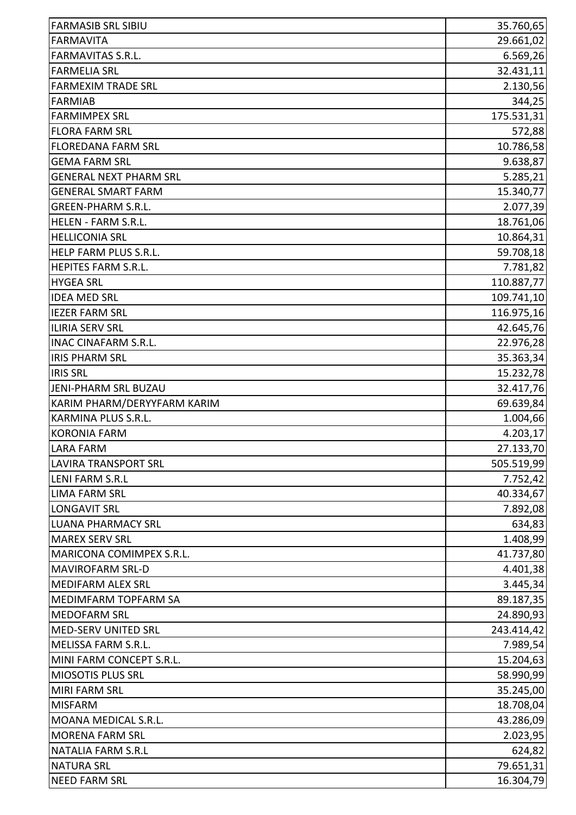| <b>FARMASIB SRL SIBIU</b>     | 35.760,65  |
|-------------------------------|------------|
| <b>FARMAVITA</b>              | 29.661,02  |
| <b>FARMAVITAS S.R.L.</b>      | 6.569,26   |
| <b>FARMELIA SRL</b>           | 32.431,11  |
| <b>FARMEXIM TRADE SRL</b>     | 2.130,56   |
| <b>FARMIAB</b>                | 344,25     |
| <b>FARMIMPEX SRL</b>          | 175.531,31 |
| <b>FLORA FARM SRL</b>         | 572,88     |
| <b>FLOREDANA FARM SRL</b>     | 10.786,58  |
| <b>GEMA FARM SRL</b>          | 9.638,87   |
| <b>GENERAL NEXT PHARM SRL</b> | 5.285,21   |
| <b>GENERAL SMART FARM</b>     | 15.340,77  |
| <b>GREEN-PHARM S.R.L.</b>     | 2.077,39   |
| <b>HELEN - FARM S.R.L.</b>    | 18.761,06  |
| <b>HELLICONIA SRL</b>         | 10.864,31  |
| HELP FARM PLUS S.R.L.         | 59.708,18  |
| <b>HEPITES FARM S.R.L.</b>    | 7.781,82   |
| <b>HYGEA SRL</b>              | 110.887,77 |
| <b>IDEA MED SRL</b>           | 109.741,10 |
| <b>IEZER FARM SRL</b>         | 116.975,16 |
| ILIRIA SERV SRL               | 42.645,76  |
| <b>INAC CINAFARM S.R.L.</b>   | 22.976,28  |
| <b>IRIS PHARM SRL</b>         | 35.363,34  |
| <b>IRIS SRL</b>               | 15.232,78  |
| <b>JENI-PHARM SRL BUZAU</b>   | 32.417,76  |
| KARIM PHARM/DERYYFARM KARIM   | 69.639,84  |
| KARMINA PLUS S.R.L.           | 1.004,66   |
| <b>KORONIA FARM</b>           | 4.203,17   |
| LARA FARM                     | 27.133,70  |
| <b>LAVIRA TRANSPORT SRL</b>   | 505.519,99 |
| <b>LENI FARM S.R.L</b>        | 7.752,42   |
| <b>LIMA FARM SRL</b>          | 40.334,67  |
| <b>LONGAVIT SRL</b>           | 7.892,08   |
| <b>LUANA PHARMACY SRL</b>     | 634,83     |
| <b>MAREX SERV SRL</b>         | 1.408,99   |
| MARICONA COMIMPEX S.R.L.      | 41.737,80  |
| <b>MAVIROFARM SRL-D</b>       | 4.401,38   |
| <b>MEDIFARM ALEX SRL</b>      | 3.445,34   |
| <b>MEDIMFARM TOPFARM SA</b>   | 89.187,35  |
| <b>MEDOFARM SRL</b>           | 24.890,93  |
| MED-SERV UNITED SRL           | 243.414,42 |
| MELISSA FARM S.R.L.           | 7.989,54   |
| MINI FARM CONCEPT S.R.L.      | 15.204,63  |
| <b>MIOSOTIS PLUS SRL</b>      | 58.990,99  |
| <b>MIRI FARM SRL</b>          | 35.245,00  |
| <b>MISFARM</b>                | 18.708,04  |
| MOANA MEDICAL S.R.L.          | 43.286,09  |
| <b>MORENA FARM SRL</b>        | 2.023,95   |
| <b>NATALIA FARM S.R.L</b>     | 624,82     |
| <b>NATURA SRL</b>             | 79.651,31  |
| <b>NEED FARM SRL</b>          | 16.304,79  |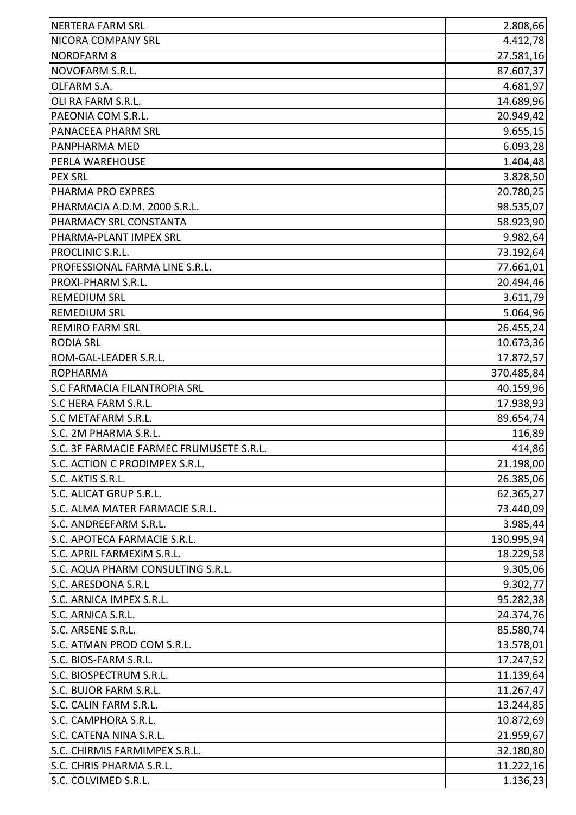| <b>NERTERA FARM SRL</b>                  | 2.808,66   |
|------------------------------------------|------------|
| NICORA COMPANY SRL                       | 4.412,78   |
| <b>NORDFARM 8</b>                        | 27.581,16  |
| NOVOFARM S.R.L.                          | 87.607,37  |
| OLFARM S.A.                              | 4.681,97   |
| OLI RA FARM S.R.L.                       | 14.689,96  |
| PAEONIA COM S.R.L.                       | 20.949,42  |
| PANACEEA PHARM SRL                       | 9.655,15   |
| PANPHARMA MED                            | 6.093,28   |
| PERLA WAREHOUSE                          | 1.404,48   |
| <b>PEX SRL</b>                           | 3.828,50   |
| PHARMA PRO EXPRES                        | 20.780,25  |
| PHARMACIA A.D.M. 2000 S.R.L.             | 98.535,07  |
| PHARMACY SRL CONSTANTA                   | 58.923,90  |
| PHARMA-PLANT IMPEX SRL                   | 9.982,64   |
| PROCLINIC S.R.L.                         | 73.192,64  |
| PROFESSIONAL FARMA LINE S.R.L.           | 77.661,01  |
| PROXI-PHARM S.R.L.                       | 20.494,46  |
| <b>REMEDIUM SRL</b>                      | 3.611,79   |
| <b>REMEDIUM SRL</b>                      | 5.064,96   |
| <b>REMIRO FARM SRL</b>                   | 26.455,24  |
| <b>RODIA SRL</b>                         | 10.673,36  |
| ROM-GAL-LEADER S.R.L.                    | 17.872,57  |
| <b>ROPHARMA</b>                          | 370.485,84 |
| <b>S.C FARMACIA FILANTROPIA SRL</b>      | 40.159,96  |
| <b>S.C HERA FARM S.R.L.</b>              | 17.938,93  |
| S.C METAFARM S.R.L.                      | 89.654,74  |
| S.C. 2M PHARMA S.R.L.                    | 116,89     |
| S.C. 3F FARMACIE FARMEC FRUMUSETE S.R.L. | 414,86     |
| S.C. ACTION C PRODIMPEX S.R.L.           | 21.198,00  |
| S.C. AKTIS S.R.L.                        | 26.385,06  |
| S.C. ALICAT GRUP S.R.L.                  | 62.365,27  |
| S.C. ALMA MATER FARMACIE S.R.L.          | 73.440,09  |
| S.C. ANDREEFARM S.R.L.                   | 3.985,44   |
| S.C. APOTECA FARMACIE S.R.L.             | 130.995,94 |
| S.C. APRIL FARMEXIM S.R.L.               | 18.229,58  |
| S.C. AQUA PHARM CONSULTING S.R.L.        | 9.305,06   |
| S.C. ARESDONA S.R.L                      | 9.302,77   |
| S.C. ARNICA IMPEX S.R.L.                 | 95.282,38  |
| S.C. ARNICA S.R.L.                       | 24.374,76  |
| S.C. ARSENE S.R.L.                       | 85.580,74  |
| S.C. ATMAN PROD COM S.R.L.               | 13.578,01  |
| S.C. BIOS-FARM S.R.L.                    | 17.247,52  |
| S.C. BIOSPECTRUM S.R.L.                  | 11.139,64  |
| S.C. BUJOR FARM S.R.L.                   | 11.267,47  |
| S.C. CALIN FARM S.R.L.                   | 13.244,85  |
| S.C. CAMPHORA S.R.L.                     | 10.872,69  |
| S.C. CATENA NINA S.R.L.                  | 21.959,67  |
| S.C. CHIRMIS FARMIMPEX S.R.L.            | 32.180,80  |
| S.C. CHRIS PHARMA S.R.L.                 | 11.222,16  |
| S.C. COLVIMED S.R.L.                     | 1.136,23   |
|                                          |            |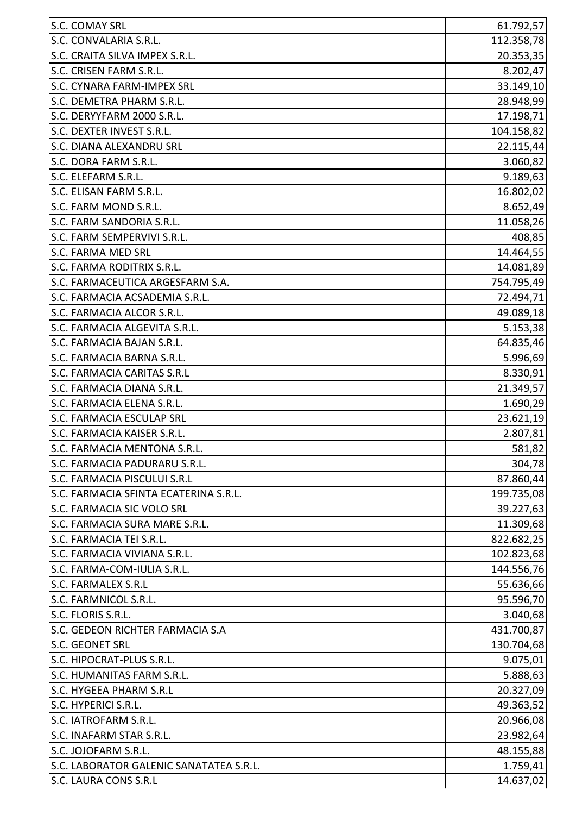| <b>S.C. COMAY SRL</b>                   | 61.792,57  |
|-----------------------------------------|------------|
| S.C. CONVALARIA S.R.L.                  | 112.358,78 |
| S.C. CRAITA SILVA IMPEX S.R.L.          | 20.353,35  |
| S.C. CRISEN FARM S.R.L.                 | 8.202,47   |
| S.C. CYNARA FARM-IMPEX SRL              | 33.149,10  |
| S.C. DEMETRA PHARM S.R.L.               | 28.948,99  |
| S.C. DERYYFARM 2000 S.R.L.              | 17.198,71  |
| S.C. DEXTER INVEST S.R.L.               | 104.158,82 |
| <b>S.C. DIANA ALEXANDRU SRL</b>         | 22.115,44  |
| S.C. DORA FARM S.R.L.                   | 3.060,82   |
| S.C. ELEFARM S.R.L.                     | 9.189,63   |
| S.C. ELISAN FARM S.R.L.                 | 16.802,02  |
| S.C. FARM MOND S.R.L.                   | 8.652,49   |
| S.C. FARM SANDORIA S.R.L.               | 11.058,26  |
| S.C. FARM SEMPERVIVI S.R.L.             | 408,85     |
| S.C. FARMA MED SRL                      | 14.464,55  |
| S.C. FARMA RODITRIX S.R.L.              | 14.081,89  |
| S.C. FARMACEUTICA ARGESFARM S.A.        | 754.795,49 |
| S.C. FARMACIA ACSADEMIA S.R.L.          | 72.494,71  |
| S.C. FARMACIA ALCOR S.R.L.              | 49.089,18  |
| S.C. FARMACIA ALGEVITA S.R.L.           | 5.153,38   |
| S.C. FARMACIA BAJAN S.R.L.              | 64.835,46  |
| S.C. FARMACIA BARNA S.R.L.              | 5.996,69   |
| S.C. FARMACIA CARITAS S.R.L             | 8.330,91   |
| S.C. FARMACIA DIANA S.R.L.              | 21.349,57  |
| S.C. FARMACIA ELENA S.R.L.              | 1.690,29   |
| <b>S.C. FARMACIA ESCULAP SRL</b>        | 23.621,19  |
| S.C. FARMACIA KAISER S.R.L.             | 2.807,81   |
| S.C. FARMACIA MENTONA S.R.L             | 581,82     |
| S.C. FARMACIA PADURARU S.R.L.           | 304,78     |
| S.C. FARMACIA PISCULUI S.R.L            | 87.860,44  |
| S.C. FARMACIA SFINTA ECATERINA S.R.L.   | 199.735,08 |
| S.C. FARMACIA SIC VOLO SRL              | 39.227,63  |
| S.C. FARMACIA SURA MARE S.R.L.          | 11.309,68  |
| S.C. FARMACIA TEI S.R.L.                | 822.682,25 |
| S.C. FARMACIA VIVIANA S.R.L.            | 102.823,68 |
| S.C. FARMA-COM-IULIA S.R.L.             | 144.556,76 |
| <b>S.C. FARMALEX S.R.L</b>              | 55.636,66  |
| S.C. FARMNICOL S.R.L.                   | 95.596,70  |
| S.C. FLORIS S.R.L.                      | 3.040,68   |
| S.C. GEDEON RICHTER FARMACIA S.A        | 431.700,87 |
| <b>S.C. GEONET SRL</b>                  | 130.704,68 |
| S.C. HIPOCRAT-PLUS S.R.L.               | 9.075,01   |
| <b>S.C. HUMANITAS FARM S.R.L.</b>       | 5.888,63   |
| S.C. HYGEEA PHARM S.R.L                 | 20.327,09  |
| S.C. HYPERICI S.R.L.                    | 49.363,52  |
| S.C. IATROFARM S.R.L.                   | 20.966,08  |
| S.C. INAFARM STAR S.R.L.                | 23.982,64  |
| S.C. JOJOFARM S.R.L.                    | 48.155,88  |
| S.C. LABORATOR GALENIC SANATATEA S.R.L. | 1.759,41   |
| S.C. LAURA CONS S.R.L                   | 14.637,02  |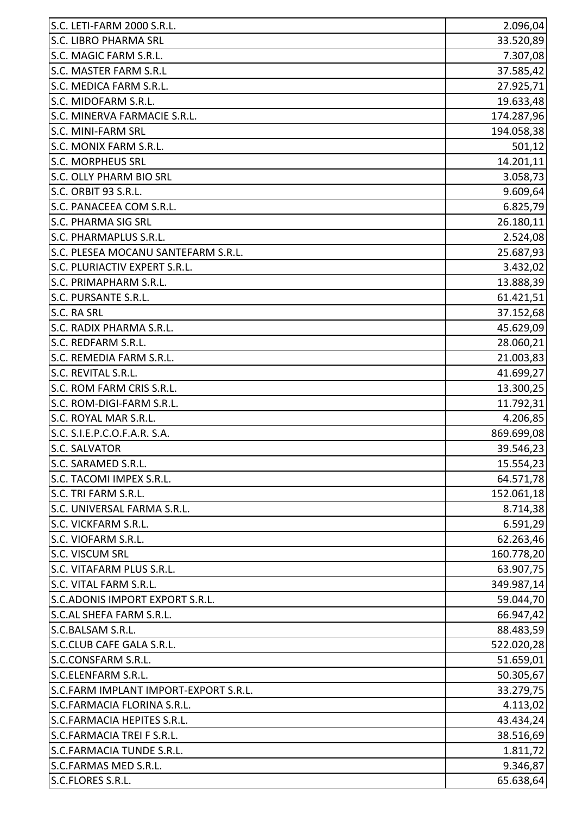| S.C. LETI-FARM 2000 S.R.L.            | 2.096,04   |
|---------------------------------------|------------|
| <b>S.C. LIBRO PHARMA SRL</b>          | 33.520,89  |
| S.C. MAGIC FARM S.R.L.                | 7.307,08   |
| S.C. MASTER FARM S.R.L                | 37.585,42  |
| S.C. MEDICA FARM S.R.L.               | 27.925,71  |
| S.C. MIDOFARM S.R.L.                  | 19.633,48  |
| S.C. MINERVA FARMACIE S.R.L.          | 174.287,96 |
| <b>S.C. MINI-FARM SRL</b>             | 194.058,38 |
| S.C. MONIX FARM S.R.L.                | 501,12     |
| <b>S.C. MORPHEUS SRL</b>              | 14.201,11  |
| S.C. OLLY PHARM BIO SRL               | 3.058,73   |
| S.C. ORBIT 93 S.R.L.                  | 9.609,64   |
| S.C. PANACEEA COM S.R.L.              | 6.825,79   |
| <b>S.C. PHARMA SIG SRL</b>            | 26.180,11  |
| S.C. PHARMAPLUS S.R.L.                | 2.524,08   |
| S.C. PLESEA MOCANU SANTEFARM S.R.L.   | 25.687,93  |
| S.C. PLURIACTIV EXPERT S.R.L.         | 3.432,02   |
| S.C. PRIMAPHARM S.R.L.                | 13.888,39  |
| S.C. PURSANTE S.R.L.                  | 61.421,51  |
| S.C. RA SRL                           | 37.152,68  |
| S.C. RADIX PHARMA S.R.L.              | 45.629,09  |
| S.C. REDFARM S.R.L.                   | 28.060,21  |
| S.C. REMEDIA FARM S.R.L.              | 21.003,83  |
| S.C. REVITAL S.R.L.                   | 41.699,27  |
| S.C. ROM FARM CRIS S.R.L.             | 13.300,25  |
| S.C. ROM-DIGI-FARM S.R.L.             | 11.792,31  |
| S.C. ROYAL MAR S.R.L.                 | 4.206,85   |
| S.C. S.I.E.P.C.O.F.A.R. S.A.          | 869.699,08 |
| <b>S.C. SALVATOR</b>                  | 39.546,23  |
| S.C. SARAMED S.R.L.                   | 15.554,23  |
| S.C. TACOMI IMPEX S.R.L.              | 64.571,78  |
| S.C. TRI FARM S.R.L.                  | 152.061,18 |
| S.C. UNIVERSAL FARMA S.R.L.           | 8.714,38   |
| S.C. VICKFARM S.R.L.                  | 6.591,29   |
| S.C. VIOFARM S.R.L.                   | 62.263,46  |
| S.C. VISCUM SRL                       | 160.778,20 |
| S.C. VITAFARM PLUS S.R.L.             | 63.907,75  |
| S.C. VITAL FARM S.R.L.                | 349.987,14 |
| S.C.ADONIS IMPORT EXPORT S.R.L.       | 59.044,70  |
| S.C.AL SHEFA FARM S.R.L.              | 66.947,42  |
| S.C.BALSAM S.R.L.                     | 88.483,59  |
| S.C.CLUB CAFE GALA S.R.L.             | 522.020,28 |
| S.C.CONSFARM S.R.L.                   | 51.659,01  |
| S.C.ELENFARM S.R.L.                   | 50.305,67  |
| S.C.FARM IMPLANT IMPORT-EXPORT S.R.L. | 33.279,75  |
| S.C.FARMACIA FLORINA S.R.L.           | 4.113,02   |
| S.C.FARMACIA HEPITES S.R.L.           | 43.434,24  |
| S.C.FARMACIA TREI F S.R.L.            | 38.516,69  |
| S.C.FARMACIA TUNDE S.R.L.             | 1.811,72   |
| S.C.FARMAS MED S.R.L.                 | 9.346,87   |
| S.C.FLORES S.R.L.                     | 65.638,64  |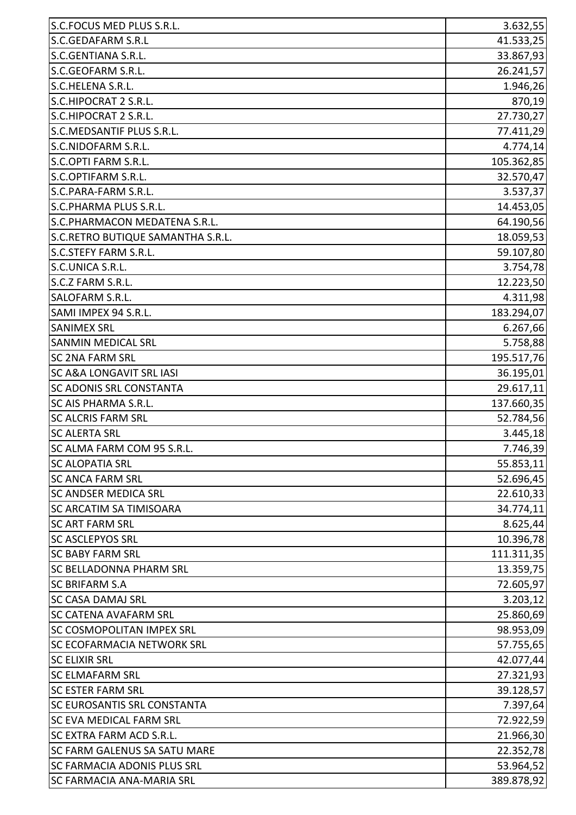| S.C.FOCUS MED PLUS S.R.L.           | 3.632,55   |
|-------------------------------------|------------|
| S.C.GEDAFARM S.R.L                  | 41.533,25  |
| S.C.GENTIANA S.R.L.                 | 33.867,93  |
| S.C.GEOFARM S.R.L.                  | 26.241,57  |
| S.C.HELENA S.R.L.                   | 1.946,26   |
| S.C.HIPOCRAT 2 S.R.L.               | 870,19     |
| S.C.HIPOCRAT 2 S.R.L.               | 27.730,27  |
| S.C.MEDSANTIF PLUS S.R.L.           | 77.411,29  |
| S.C.NIDOFARM S.R.L.                 | 4.774,14   |
| S.C.OPTI FARM S.R.L.                | 105.362,85 |
| S.C.OPTIFARM S.R.L.                 | 32.570,47  |
| S.C.PARA-FARM S.R.L.                | 3.537,37   |
| S.C.PHARMA PLUS S.R.L.              | 14.453,05  |
| S.C.PHARMACON MEDATENA S.R.L.       | 64.190,56  |
| S.C.RETRO BUTIQUE SAMANTHA S.R.L.   | 18.059,53  |
| S.C.STEFY FARM S.R.L.               | 59.107,80  |
| S.C.UNICA S.R.L.                    | 3.754,78   |
| S.C.Z FARM S.R.L.                   | 12.223,50  |
| SALOFARM S.R.L.                     | 4.311,98   |
| SAMI IMPEX 94 S.R.L.                | 183.294,07 |
| <b>SANIMEX SRL</b>                  | 6.267,66   |
| <b>SANMIN MEDICAL SRL</b>           | 5.758,88   |
| <b>SC 2NA FARM SRL</b>              | 195.517,76 |
| <b>SC A&amp;A LONGAVIT SRL IASI</b> | 36.195,01  |
| <b>SC ADONIS SRL CONSTANTA</b>      | 29.617,11  |
| SC AIS PHARMA S.R.L.                | 137.660,35 |
| <b>SC ALCRIS FARM SRL</b>           | 52.784,56  |
| <b>SC ALERTA SRL</b>                | 3.445,18   |
| SC ALMA FARM COM 95 S.R.L           | 7.746,39   |
| <b>SC ALOPATIA SRL</b>              | 55.853,11  |
| <b>SC ANCA FARM SRL</b>             | 52.696,45  |
| <b>SC ANDSER MEDICA SRL</b>         | 22.610,33  |
| <b>SC ARCATIM SA TIMISOARA</b>      | 34.774,11  |
| <b>SC ART FARM SRL</b>              | 8.625,44   |
| <b>SC ASCLEPYOS SRL</b>             | 10.396,78  |
| <b>SC BABY FARM SRL</b>             | 111.311,35 |
| <b>SC BELLADONNA PHARM SRL</b>      | 13.359,75  |
| <b>SC BRIFARM S.A</b>               | 72.605,97  |
| <b>SC CASA DAMAJ SRL</b>            | 3.203, 12  |
| <b>SC CATENA AVAFARM SRL</b>        | 25.860,69  |
| <b>SC COSMOPOLITAN IMPEX SRL</b>    | 98.953,09  |
| <b>SC ECOFARMACIA NETWORK SRL</b>   | 57.755,65  |
| <b>SC ELIXIR SRL</b>                | 42.077,44  |
| <b>SC ELMAFARM SRL</b>              | 27.321,93  |
| <b>SC ESTER FARM SRL</b>            | 39.128,57  |
| <b>SC EUROSANTIS SRL CONSTANTA</b>  | 7.397,64   |
| <b>SC EVA MEDICAL FARM SRL</b>      | 72.922,59  |
| SC EXTRA FARM ACD S.R.L.            | 21.966,30  |
| <b>SC FARM GALENUS SA SATU MARE</b> | 22.352,78  |
| <b>SC FARMACIA ADONIS PLUS SRL</b>  | 53.964,52  |
| <b>SC FARMACIA ANA-MARIA SRL</b>    | 389.878,92 |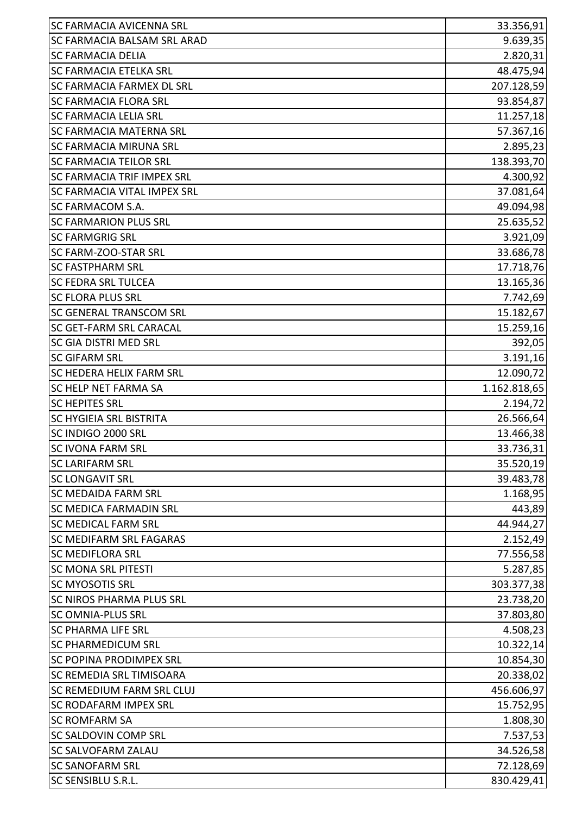| <b>SC FARMACIA AVICENNA SRL</b>    | 33.356,91    |
|------------------------------------|--------------|
| <b>SC FARMACIA BALSAM SRL ARAD</b> | 9.639,35     |
| <b>SC FARMACIA DELIA</b>           | 2.820,31     |
| <b>SC FARMACIA ETELKA SRL</b>      | 48.475,94    |
| <b>SC FARMACIA FARMEX DL SRL</b>   | 207.128,59   |
| <b>SC FARMACIA FLORA SRL</b>       | 93.854,87    |
| <b>SC FARMACIA LELIA SRL</b>       | 11.257,18    |
| <b>SC FARMACIA MATERNA SRL</b>     | 57.367,16    |
| <b>SC FARMACIA MIRUNA SRL</b>      | 2.895,23     |
| <b>SC FARMACIA TEILOR SRL</b>      | 138.393,70   |
| <b>SC FARMACIA TRIF IMPEX SRL</b>  | 4.300,92     |
| <b>SC FARMACIA VITAL IMPEX SRL</b> | 37.081,64    |
| SC FARMACOM S.A.                   | 49.094,98    |
| <b>SC FARMARION PLUS SRL</b>       | 25.635,52    |
| <b>SC FARMGRIG SRL</b>             | 3.921,09     |
| <b>SC FARM-ZOO-STAR SRL</b>        | 33.686,78    |
| <b>SC FASTPHARM SRL</b>            | 17.718,76    |
| <b>SC FEDRA SRL TULCEA</b>         | 13.165,36    |
| <b>SC FLORA PLUS SRL</b>           | 7.742,69     |
| <b>SC GENERAL TRANSCOM SRL</b>     | 15.182,67    |
| <b>SC GET-FARM SRL CARACAL</b>     | 15.259,16    |
| <b>SC GIA DISTRI MED SRL</b>       | 392,05       |
| <b>SC GIFARM SRL</b>               | 3.191,16     |
| <b>SC HEDERA HELIX FARM SRL</b>    | 12.090,72    |
| SC HELP NET FARMA SA               | 1.162.818,65 |
| <b>SC HEPITES SRL</b>              | 2.194,72     |
| <b>SC HYGIEIA SRL BISTRITA</b>     | 26.566,64    |
| SC INDIGO 2000 SRL                 | 13.466,38    |
| <b>SC IVONA FARM SRL</b>           | 33.736,31    |
| <b>SC LARIFARM SRL</b>             | 35.520,19    |
| <b>SC LONGAVIT SRL</b>             | 39.483,78    |
| <b>SC MEDAIDA FARM SRL</b>         | 1.168,95     |
| <b>SC MEDICA FARMADIN SRL</b>      | 443,89       |
| <b>SC MEDICAL FARM SRL</b>         | 44.944,27    |
| <b>SC MEDIFARM SRL FAGARAS</b>     | 2.152,49     |
| <b>SC MEDIFLORA SRL</b>            | 77.556,58    |
| <b>SC MONA SRL PITESTI</b>         | 5.287,85     |
| <b>SC MYOSOTIS SRL</b>             | 303.377,38   |
| <b>SC NIROS PHARMA PLUS SRL</b>    | 23.738,20    |
| <b>SC OMNIA-PLUS SRL</b>           | 37.803,80    |
| <b>SC PHARMA LIFE SRL</b>          | 4.508,23     |
| <b>SC PHARMEDICUM SRL</b>          | 10.322,14    |
| <b>SC POPINA PRODIMPEX SRL</b>     | 10.854,30    |
| <b>SC REMEDIA SRL TIMISOARA</b>    | 20.338,02    |
| <b>SC REMEDIUM FARM SRL CLUJ</b>   | 456.606,97   |
| <b>SC RODAFARM IMPEX SRL</b>       | 15.752,95    |
| <b>SC ROMFARM SA</b>               | 1.808,30     |
| <b>SC SALDOVIN COMP SRL</b>        | 7.537,53     |
| <b>SC SALVOFARM ZALAU</b>          | 34.526,58    |
| <b>SC SANOFARM SRL</b>             | 72.128,69    |
| SC SENSIBLU S.R.L.                 | 830.429,41   |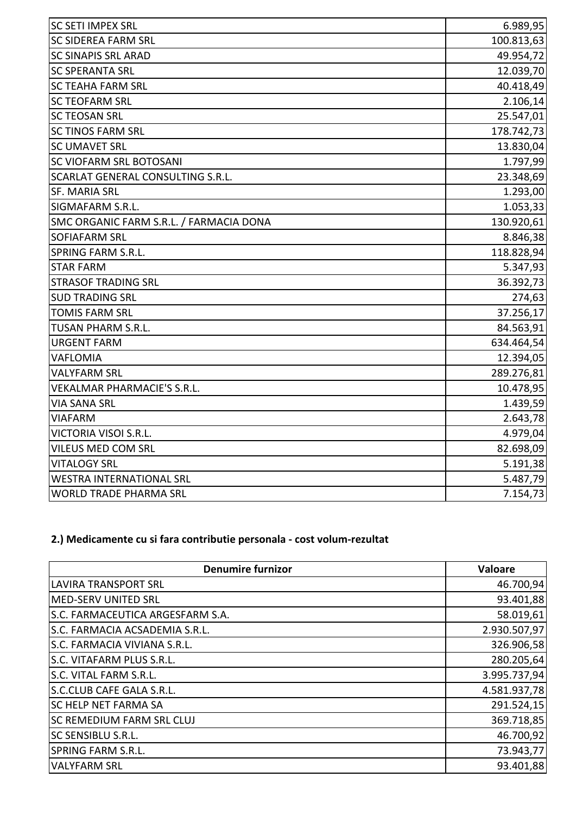| <b>SC SETI IMPEX SRL</b>                | 6.989,95   |
|-----------------------------------------|------------|
| SC SIDEREA FARM SRL                     | 100.813,63 |
| <b>SC SINAPIS SRL ARAD</b>              | 49.954,72  |
| <b>SC SPERANTA SRL</b>                  | 12.039,70  |
| <b>SC TEAHA FARM SRL</b>                | 40.418,49  |
| <b>SC TEOFARM SRL</b>                   | 2.106,14   |
| <b>SC TEOSAN SRL</b>                    | 25.547,01  |
| <b>SC TINOS FARM SRL</b>                | 178.742,73 |
| <b>SC UMAVET SRL</b>                    | 13.830,04  |
| SC VIOFARM SRL BOTOSANI                 | 1.797,99   |
| SCARLAT GENERAL CONSULTING S.R.L.       | 23.348,69  |
| SF. MARIA SRL                           | 1.293,00   |
| SIGMAFARM S.R.L.                        | 1.053,33   |
| SMC ORGANIC FARM S.R.L. / FARMACIA DONA | 130.920,61 |
| <b>SOFIAFARM SRL</b>                    | 8.846,38   |
| <b>SPRING FARM S.R.L.</b>               | 118.828,94 |
| <b>STAR FARM</b>                        | 5.347,93   |
| <b>STRASOF TRADING SRL</b>              | 36.392,73  |
| <b>SUD TRADING SRL</b>                  | 274,63     |
| <b>TOMIS FARM SRL</b>                   | 37.256,17  |
| <b>TUSAN PHARM S.R.L.</b>               | 84.563,91  |
| <b>URGENT FARM</b>                      | 634.464,54 |
| VAFLOMIA                                | 12.394,05  |
| <b>VALYFARM SRL</b>                     | 289.276,81 |
| VEKALMAR PHARMACIE'S S.R.L.             | 10.478,95  |
| <b>VIA SANA SRL</b>                     | 1.439,59   |
| <b>VIAFARM</b>                          | 2.643,78   |
| VICTORIA VISOI S.R.L.                   | 4.979,04   |
| VILEUS MED COM SRL                      | 82.698,09  |
| <b>VITALOGY SRL</b>                     | 5.191,38   |
| <b>WESTRA INTERNATIONAL SRL</b>         | 5.487,79   |
| <b>WORLD TRADE PHARMA SRL</b>           | 7.154,73   |

## **2.) Medicamente cu si fara contributie personala - cost volum-rezultat**

| <b>Denumire furnizor</b>         | Valoare      |
|----------------------------------|--------------|
| <b>LAVIRA TRANSPORT SRL</b>      | 46.700,94    |
| MED-SERV UNITED SRL              | 93.401,88    |
| S.C. FARMACEUTICA ARGESFARM S.A. | 58.019,61    |
| S.C. FARMACIA ACSADEMIA S.R.L.   | 2.930.507,97 |
| S.C. FARMACIA VIVIANA S.R.L.     | 326.906,58   |
| S.C. VITAFARM PLUS S.R.L.        | 280.205,64   |
| S.C. VITAL FARM S.R.L.           | 3.995.737,94 |
| S.C.CLUB CAFE GALA S.R.L.        | 4.581.937,78 |
| <b>SC HELP NET FARMA SA</b>      | 291.524,15   |
| <b>SC REMEDIUM FARM SRL CLUJ</b> | 369.718,85   |
| SC SENSIBLU S.R.L.               | 46.700,92    |
| SPRING FARM S.R.L.               | 73.943,77    |
| <b>VALYFARM SRL</b>              | 93.401,88    |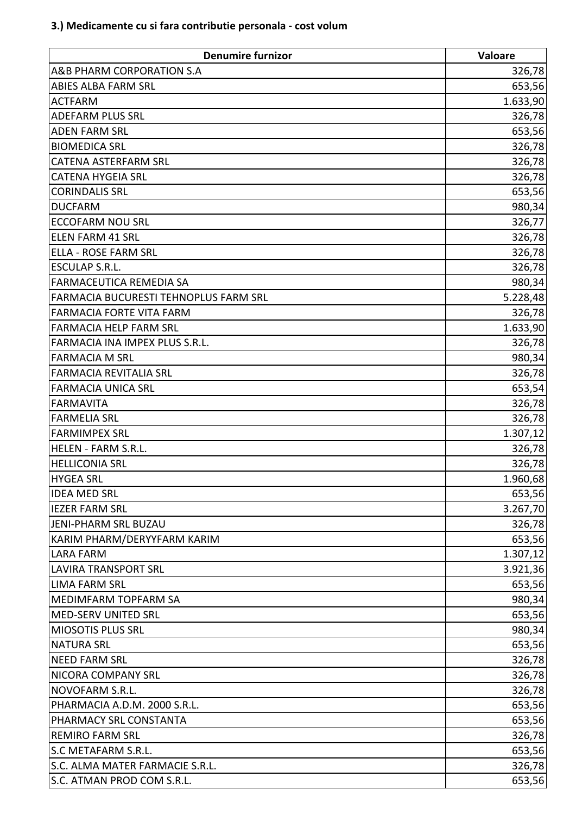| <b>Denumire furnizor</b>              | Valoare   |
|---------------------------------------|-----------|
| <b>A&amp;B PHARM CORPORATION S.A</b>  | 326,78    |
| <b>ABIES ALBA FARM SRL</b>            | 653,56    |
| <b>ACTFARM</b>                        | 1.633,90  |
| <b>ADEFARM PLUS SRL</b>               | 326,78    |
| <b>ADEN FARM SRL</b>                  | 653,56    |
| <b>BIOMEDICA SRL</b>                  | 326,78    |
| <b>CATENA ASTERFARM SRL</b>           | 326,78    |
| <b>CATENA HYGEIA SRL</b>              | 326,78    |
| <b>CORINDALIS SRL</b>                 | 653,56    |
| <b>DUCFARM</b>                        | 980,34    |
| <b>ECCOFARM NOU SRL</b>               | 326,77    |
| <b>ELEN FARM 41 SRL</b>               | 326,78    |
| <b>ELLA - ROSE FARM SRL</b>           | 326,78    |
| <b>ESCULAP S.R.L.</b>                 | 326,78    |
| <b>FARMACEUTICA REMEDIA SA</b>        | 980,34    |
| FARMACIA BUCURESTI TEHNOPLUS FARM SRL | 5.228,48  |
| <b>FARMACIA FORTE VITA FARM</b>       | 326,78    |
| <b>FARMACIA HELP FARM SRL</b>         | 1.633,90  |
| FARMACIA INA IMPEX PLUS S.R.L.        | 326,78    |
| <b>FARMACIA M SRL</b>                 | 980,34    |
| <b>FARMACIA REVITALIA SRL</b>         | 326,78    |
| <b>FARMACIA UNICA SRL</b>             | 653,54    |
| <b>FARMAVITA</b>                      | 326,78    |
| <b>FARMELIA SRL</b>                   | 326,78    |
| <b>FARMIMPEX SRL</b>                  | 1.307, 12 |
| HELEN - FARM S.R.L.                   | 326,78    |
| <b>HELLICONIA SRL</b>                 | 326,78    |
| <b>HYGEA SRL</b>                      | 1.960,68  |
| <b>IDEA MED SRL</b>                   | 653,56    |
| <b>IEZER FARM SRL</b>                 | 3.267,70  |
| JENI-PHARM SRL BUZAU                  | 326,78    |
| KARIM PHARM/DERYYFARM KARIM           | 653,56    |
| <b>LARA FARM</b>                      | 1.307, 12 |
| <b>LAVIRA TRANSPORT SRL</b>           | 3.921,36  |
| <b>LIMA FARM SRL</b>                  | 653,56    |
| <b>MEDIMFARM TOPFARM SA</b>           | 980,34    |
| <b>MED-SERV UNITED SRL</b>            | 653,56    |
| <b>MIOSOTIS PLUS SRL</b>              | 980,34    |
| <b>NATURA SRL</b>                     | 653,56    |
| <b>NEED FARM SRL</b>                  | 326,78    |
| <b>NICORA COMPANY SRL</b>             | 326,78    |
| <b>NOVOFARM S.R.L.</b>                | 326,78    |
| PHARMACIA A.D.M. 2000 S.R.L.          | 653,56    |
| PHARMACY SRL CONSTANTA                | 653,56    |
| <b>REMIRO FARM SRL</b>                | 326,78    |
| S.C METAFARM S.R.L.                   | 653,56    |
| S.C. ALMA MATER FARMACIE S.R.L.       | 326,78    |
| S.C. ATMAN PROD COM S.R.L.            | 653,56    |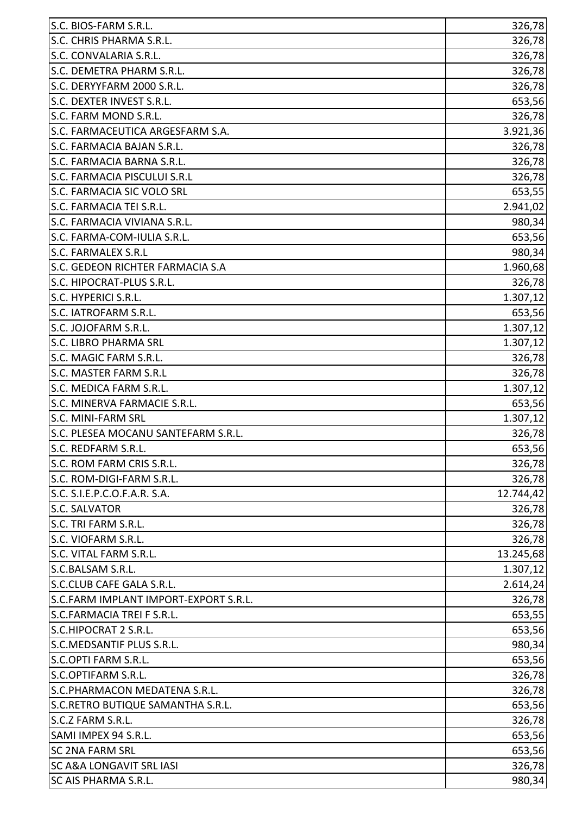| S.C. BIOS-FARM S.R.L.                 | 326,78    |
|---------------------------------------|-----------|
| S.C. CHRIS PHARMA S.R.L.              | 326,78    |
| S.C. CONVALARIA S.R.L.                | 326,78    |
| S.C. DEMETRA PHARM S.R.L.             | 326,78    |
| S.C. DERYYFARM 2000 S.R.L.            | 326,78    |
| S.C. DEXTER INVEST S.R.L.             | 653,56    |
| S.C. FARM MOND S.R.L.                 | 326,78    |
| S.C. FARMACEUTICA ARGESFARM S.A.      | 3.921,36  |
| S.C. FARMACIA BAJAN S.R.L.            | 326,78    |
| S.C. FARMACIA BARNA S.R.L.            | 326,78    |
| S.C. FARMACIA PISCULUI S.R.L          | 326,78    |
| S.C. FARMACIA SIC VOLO SRL            | 653,55    |
| S.C. FARMACIA TEI S.R.L.              | 2.941,02  |
| S.C. FARMACIA VIVIANA S.R.L.          | 980,34    |
| S.C. FARMA-COM-IULIA S.R.L.           | 653,56    |
| S.C. FARMALEX S.R.L                   | 980,34    |
| S.C. GEDEON RICHTER FARMACIA S.A      | 1.960,68  |
| S.C. HIPOCRAT-PLUS S.R.L.             | 326,78    |
| S.C. HYPERICI S.R.L.                  | 1.307, 12 |
| S.C. IATROFARM S.R.L.                 | 653,56    |
| S.C. JOJOFARM S.R.L.                  | 1.307, 12 |
| <b>S.C. LIBRO PHARMA SRL</b>          | 1.307,12  |
| S.C. MAGIC FARM S.R.L.                | 326,78    |
| S.C. MASTER FARM S.R.L                | 326,78    |
| S.C. MEDICA FARM S.R.L.               | 1.307,12  |
| S.C. MINERVA FARMACIE S.R.L.          | 653,56    |
| <b>S.C. MINI-FARM SRL</b>             | 1.307, 12 |
| S.C. PLESEA MOCANU SANTEFARM S.R.L.   | 326,78    |
| S.C. REDFARM S.R.L.                   | 653,56    |
| S.C. ROM FARM CRIS S.R.L.             | 326,78    |
| S.C. ROM-DIGI-FARM S.R.L.             | 326,78    |
| S.C. S.I.E.P.C.O.F.A.R. S.A.          | 12.744,42 |
| S.C. SALVATOR                         | 326,78    |
| S.C. TRI FARM S.R.L.                  | 326,78    |
| S.C. VIOFARM S.R.L.                   | 326,78    |
| S.C. VITAL FARM S.R.L.                | 13.245,68 |
| S.C.BALSAM S.R.L.                     | 1.307,12  |
| S.C.CLUB CAFE GALA S.R.L.             | 2.614, 24 |
| S.C.FARM IMPLANT IMPORT-EXPORT S.R.L. | 326,78    |
| S.C.FARMACIA TREI F S.R.L.            | 653,55    |
| S.C.HIPOCRAT 2 S.R.L.                 | 653,56    |
| S.C.MEDSANTIF PLUS S.R.L.             | 980,34    |
| S.C.OPTI FARM S.R.L.                  | 653,56    |
| S.C.OPTIFARM S.R.L.                   | 326,78    |
| S.C.PHARMACON MEDATENA S.R.L.         | 326,78    |
| S.C.RETRO BUTIQUE SAMANTHA S.R.L.     | 653,56    |
| S.C.Z FARM S.R.L.                     | 326,78    |
| SAMI IMPEX 94 S.R.L.                  | 653,56    |
| <b>SC 2NA FARM SRL</b>                | 653,56    |
| <b>SC A&amp;A LONGAVIT SRL IASI</b>   | 326,78    |
| <b>SC AIS PHARMA S.R.L.</b>           | 980,34    |
|                                       |           |